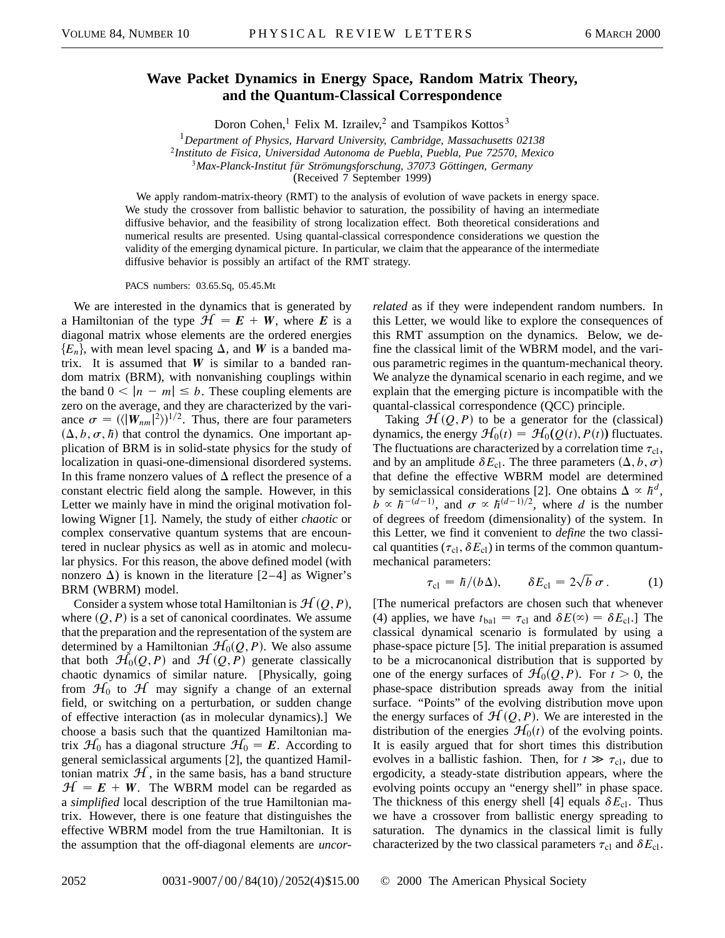## **Wave Packet Dynamics in Energy Space, Random Matrix Theory, and the Quantum-Classical Correspondence**

Doron Cohen,<sup>1</sup> Felix M. Izrailev,<sup>2</sup> and Tsampikos Kottos<sup>3</sup>

<sup>1</sup>*Department of Physics, Harvard University, Cambridge, Massachusetts 02138*

<sup>2</sup>*Instituto de Fisica, Universidad Autonoma de Puebla, Puebla, Pue 72570, Mexico*

<sup>3</sup>*Max-Planck-Institut für Strömungsforschung, 37073 Göttingen, Germany*

(Received 7 September 1999)

We apply random-matrix-theory (RMT) to the analysis of evolution of wave packets in energy space. We study the crossover from ballistic behavior to saturation, the possibility of having an intermediate diffusive behavior, and the feasibility of strong localization effect. Both theoretical considerations and numerical results are presented. Using quantal-classical correspondence considerations we question the validity of the emerging dynamical picture. In particular, we claim that the appearance of the intermediate diffusive behavior is possibly an artifact of the RMT strategy.

PACS numbers: 03.65.Sq, 05.45.Mt

We are interested in the dynamics that is generated by a Hamiltonian of the type  $H = E + W$ , where *E* is a diagonal matrix whose elements are the ordered energies  ${E_n}$ , with mean level spacing  $\Delta$ , and *W* is a banded matrix. It is assumed that  $W$  is similar to a banded random matrix (BRM), with nonvanishing couplings within the band  $0 < |n - m| \le b$ . These coupling elements are zero on the average, and they are characterized by the variance  $\sigma = (\langle |W_{nm}|^2 \rangle)^{1/2}$ . Thus, there are four parameters  $(\Delta, b, \sigma, \hbar)$  that control the dynamics. One important application of BRM is in solid-state physics for the study of localization in quasi-one-dimensional disordered systems. In this frame nonzero values of  $\Delta$  reflect the presence of a constant electric field along the sample. However, in this Letter we mainly have in mind the original motivation following Wigner [1]. Namely, the study of either *chaotic* or complex conservative quantum systems that are encountered in nuclear physics as well as in atomic and molecular physics. For this reason, the above defined model (with nonzero  $\Delta$ ) is known in the literature [2–4] as Wigner's BRM (WBRM) model.

Consider a system whose total Hamiltonian is  $H(Q, P)$ , where  $(Q, P)$  is a set of canonical coordinates. We assume that the preparation and the representation of the system are determined by a Hamiltonian  $H_0(Q, P)$ . We also assume that both  $H_0(Q, P)$  and  $H(Q, P)$  generate classically chaotic dynamics of similar nature. [Physically, going from  $\mathcal{H}_0$  to  $\mathcal{H}$  may signify a change of an external field, or switching on a perturbation, or sudden change of effective interaction (as in molecular dynamics).] We choose a basis such that the quantized Hamiltonian matrix  $\mathcal{H}_0$  has a diagonal structure  $\mathcal{H}_0 = \mathbf{E}$ . According to general semiclassical arguments [2], the quantized Hamiltonian matrix  $H$ , in the same basis, has a band structure  $H = E + W$ . The WBRM model can be regarded as a *simplified* local description of the true Hamiltonian matrix. However, there is one feature that distinguishes the effective WBRM model from the true Hamiltonian. It is the assumption that the off-diagonal elements are *uncor-* *related* as if they were independent random numbers. In this Letter, we would like to explore the consequences of this RMT assumption on the dynamics. Below, we define the classical limit of the WBRM model, and the various parametric regimes in the quantum-mechanical theory. We analyze the dynamical scenario in each regime, and we explain that the emerging picture is incompatible with the quantal-classical correspondence (QCC) principle.

Taking  $\mathcal{H}(Q, P)$  to be a generator for the (classical) dynamics, the energy  $\mathcal{H}_0(t) = \mathcal{H}_0(Q(t), P(t))$  fluctuates. The fluctuations are characterized by a correlation time  $\tau_{\text{cl}}$ , and by an amplitude  $\delta E_{\text{cl}}$ . The three parameters  $(\Delta, b, \sigma)$ that define the effective WBRM model are determined by semiclassical considerations [2]. One obtains  $\Delta \propto \hbar^d$ ,  $b \propto \hbar^{-(d-1)}$ , and  $\sigma \propto \hbar^{(d-1)/2}$ , where *d* is the number of degrees of freedom (dimensionality) of the system. In this Letter, we find it convenient to *define* the two classical quantities ( $\tau_{\text{cl}}$ ,  $\delta E_{\text{cl}}$ ) in terms of the common quantummechanical parameters: p

$$
\tau_{\rm cl} = \hbar / (b \Delta), \qquad \delta E_{\rm cl} = 2 \sqrt{b \sigma}.
$$
 (1)

[The numerical prefactors are chosen such that whenever (4) applies, we have  $t_{bal} = \tau_{cl}$  and  $\delta E(\infty) = \delta E_{cl}$ .] The classical dynamical scenario is formulated by using a phase-space picture [5]. The initial preparation is assumed to be a microcanonical distribution that is supported by one of the energy surfaces of  $\mathcal{H}_0(Q, P)$ . For  $t > 0$ , the phase-space distribution spreads away from the initial surface. "Points" of the evolving distribution move upon the energy surfaces of  $\mathcal{H}(Q, P)$ . We are interested in the distribution of the energies  $\mathcal{H}_0(t)$  of the evolving points. It is easily argued that for short times this distribution evolves in a ballistic fashion. Then, for  $t \gg \tau_{\text{cl}}$ , due to ergodicity, a steady-state distribution appears, where the evolving points occupy an "energy shell" in phase space. The thickness of this energy shell [4] equals  $\delta E_{\text{cl}}$ . Thus we have a crossover from ballistic energy spreading to saturation. The dynamics in the classical limit is fully characterized by the two classical parameters  $\tau_{\text{cl}}$  and  $\delta E_{\text{cl}}$ .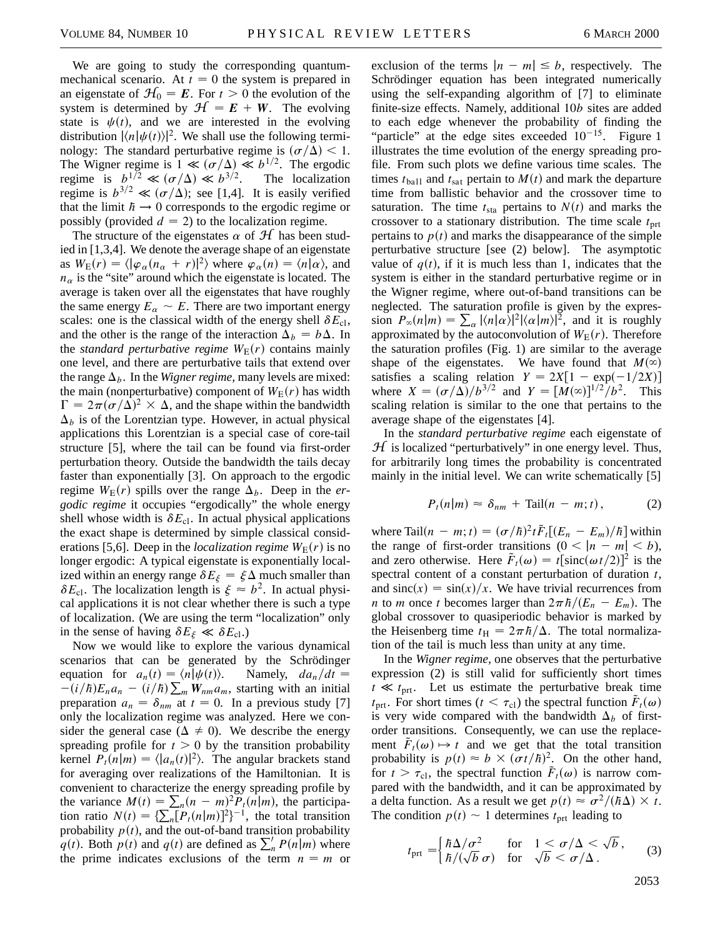We are going to study the corresponding quantummechanical scenario. At  $t = 0$  the system is prepared in an eigenstate of  $\mathcal{H}_0 = \mathbf{E}$ . For  $t > 0$  the evolution of the system is determined by  $\mathcal{H} = E + W$ . The evolving state is  $\psi(t)$ , and we are interested in the evolving distribution  $|\langle n|\psi(t)\rangle|^2$ . We shall use the following terminology: The standard perturbative regime is  $(\sigma/\Delta) < 1$ . The Wigner regime is  $1 \ll (\sigma/\Delta) \ll b^{1/2}$ . The ergodic regime is  $b^{1/2} \ll (\sigma/\Delta) \ll b^{3/2}$ . The localization regime is  $b^{3/2} \ll (\sigma/\Delta)$ ; see [1,4]. It is easily verified that the limit  $h \rightarrow 0$  corresponds to the ergodic regime or possibly (provided  $d = 2$ ) to the localization regime.

The structure of the eigenstates  $\alpha$  of  $\mathcal{H}$  has been studied in [1,3,4]. We denote the average shape of an eigenstate as  $W_{\rm E}(r) = \langle |\varphi_{\alpha}(n_{\alpha} + r)|^2 \rangle$  where  $\varphi_{\alpha}(n) = \langle n | \alpha \rangle$ , and  $n_{\alpha}$  is the "site" around which the eigenstate is located. The average is taken over all the eigenstates that have roughly the same energy  $E_\alpha \sim E$ . There are two important energy scales: one is the classical width of the energy shell  $\delta E_{c}$ , and the other is the range of the interaction  $\Delta_b = b\Delta$ . In the *standard perturbative regime*  $W_E(r)$  contains mainly one level, and there are perturbative tails that extend over the range  $\Delta_b$ . In the *Wigner regime*, many levels are mixed: the main (nonperturbative) component of  $W_E(r)$  has width  $\Gamma = 2\pi(\sigma/\Delta)^2 \times \Delta$ , and the shape within the bandwidth  $\Delta_b$  is of the Lorentzian type. However, in actual physical applications this Lorentzian is a special case of core-tail structure [5], where the tail can be found via first-order perturbation theory. Outside the bandwidth the tails decay faster than exponentially [3]. On approach to the ergodic regime  $W_{\rm E}(r)$  spills over the range  $\Delta_b$ . Deep in the *ergodic regime* it occupies "ergodically" the whole energy shell whose width is  $\delta E_{cl}$ . In actual physical applications the exact shape is determined by simple classical considerations [5,6]. Deep in the *localization regime*  $W_{E}(r)$  is no longer ergodic: A typical eigenstate is exponentially localized within an energy range  $\delta E_{\xi} = \xi \Delta$  much smaller than  $\delta E_{\text{cl}}$ . The localization length is  $\xi \approx b^2$ . In actual physical applications it is not clear whether there is such a type of localization. (We are using the term "localization" only in the sense of having  $\delta E_{\xi} \ll \delta E_{\text{cl}}$ .)

Now we would like to explore the various dynamical scenarios that can be generated by the Schrödinger equation for  $a_n(t) = \langle n | \psi(t) \rangle$ . Namely,  $da_n/dt =$ <br>  $(i/k) F_{n-1}$  (i)  $k \sum_{n=1}^{\infty} W_{n-1}$  starting with an initial  $-(i/\hbar)E_na_n - (i/\hbar)\sum_m W_{nm}a_m$ , starting with an initial preparation  $a_n = \delta_{nm}$  at  $t = 0$ . In a previous study [7] only the localization regime was analyzed. Here we consider the general case ( $\Delta \neq 0$ ). We describe the energy spreading profile for  $t > 0$  by the transition probability kernel  $P_t(n|m) = \langle |a_n(t)|^2 \rangle$ . The angular brackets stand for averaging over realizations of the Hamiltonian. It is convenient to characterize the energy spreading profile by the variance  $M(t) = \sum_n (n - m)^2 P_t(n|m)$ , the participation ratio  $N(t) = \sum_{n} [P_t(n|m)]^2\}^{-1}$ , the total transition probability  $p(t)$ , and the out-of-band transition probability *q*(*t*). Both *p*(*t*) and *q*(*t*) are defined as  $\sum_{n}^{l} P(n|m)$  where the prime indicates exclusions of the term  $n = m$  or exclusion of the terms  $|n - m| \leq b$ , respectively. The Schrödinger equation has been integrated numerically using the self-expanding algorithm of [7] to eliminate finite-size effects. Namely, additional 10*b* sites are added to each edge whenever the probability of finding the "particle" at the edge sites exceeded  $10^{-15}$ . Figure 1 illustrates the time evolution of the energy spreading profile. From such plots we define various time scales. The times  $t_{\text{ball}}$  and  $t_{\text{sat}}$  pertain to  $M(t)$  and mark the departure time from ballistic behavior and the crossover time to saturation. The time  $t_{sta}$  pertains to  $N(t)$  and marks the crossover to a stationary distribution. The time scale  $t_{\text{prt}}$ pertains to  $p(t)$  and marks the disappearance of the simple perturbative structure [see (2) below]. The asymptotic value of  $q(t)$ , if it is much less than 1, indicates that the system is either in the standard perturbative regime or in the Wigner regime, where out-of-band transitions can be neglected. The saturation profile is given by the expression  $P_{\infty}(n|m) = \sum_{\alpha} |\langle n|\alpha\rangle|^2 |\langle \alpha|m\rangle|^2$ , and it is roughly approximated by the autoconvolution of  $W_E(r)$ . Therefore the saturation profiles (Fig. 1) are similar to the average shape of the eigenstates. We have found that  $M(\infty)$ satisfies a scaling relation  $Y = 2X[1 - \exp(-1/2X)]$ where  $X = (\sigma/\Delta)/b^{3/2}$  and  $Y = [M(\infty)]^{1/2}/b^2$ . This scaling relation is similar to the one that pertains to the average shape of the eigenstates [4].

In the *standard perturbative regime* each eigenstate of  $H$  is localized "perturbatively" in one energy level. Thus, for arbitrarily long times the probability is concentrated mainly in the initial level. We can write schematically [5]

$$
P_t(n|m) \approx \delta_{nm} + \text{Tail}(n - m; t), \qquad (2)
$$

where Tail $(n - m; t) = (\sigma/\hbar)^2 t \tilde{F}_t[(E_n - E_m)/\hbar]$  within the range of first-order transitions  $(0 < |n - m| < b)$ , and zero otherwise. Here  $\tilde{F}_t(\omega) = t[\text{sinc}(\omega t/2)]^2$  is the spectral content of a constant perturbation of duration *t*, and  $sinc(x) = sin(x)/x$ . We have trivial recurrences from *n* to *m* once *t* becomes larger than  $2\pi\hbar/(E_n - E_m)$ . The global crossover to quasiperiodic behavior is marked by the Heisenberg time  $t_H = 2\pi \hbar/\Delta$ . The total normalization of the tail is much less than unity at any time.

In the *Wigner regime,* one observes that the perturbative expression (2) is still valid for sufficiently short times  $t \ll t_{\text{prt}}$ . Let us estimate the perturbative break time  $t_{\text{prt}}$ . For short times ( $t < \tau_{\text{cl}}$ ) the spectral function  $\tilde{F}_t(\omega)$ is very wide compared with the bandwidth  $\Delta_b$  of firstorder transitions. Consequently, we can use the replacement  $\tilde{F}_t(\omega) \mapsto t$  and we get that the total transition probability is  $p(t) \approx b \times (\sigma t / \hbar)^2$ . On the other hand, for  $t > \tau_{\text{cl}}$ , the spectral function  $\tilde{F}_t(\omega)$  is narrow compared with the bandwidth, and it can be approximated by a delta function. As a result we get  $p(t) \approx \frac{\sigma^2}{\hbar\Delta} \times t$ . The condition  $p(t) \sim 1$  determines  $t_{\text{prt}}$  leading to

$$
t_{\text{prt}} = \begin{cases} \hbar \Delta / \sigma^2 & \text{for} \quad 1 < \sigma / \Delta < \sqrt{b} \\ \hbar / (\sqrt{b} \; \sigma) & \text{for} \quad \sqrt{b} < \sigma / \Delta \end{cases} \tag{3}
$$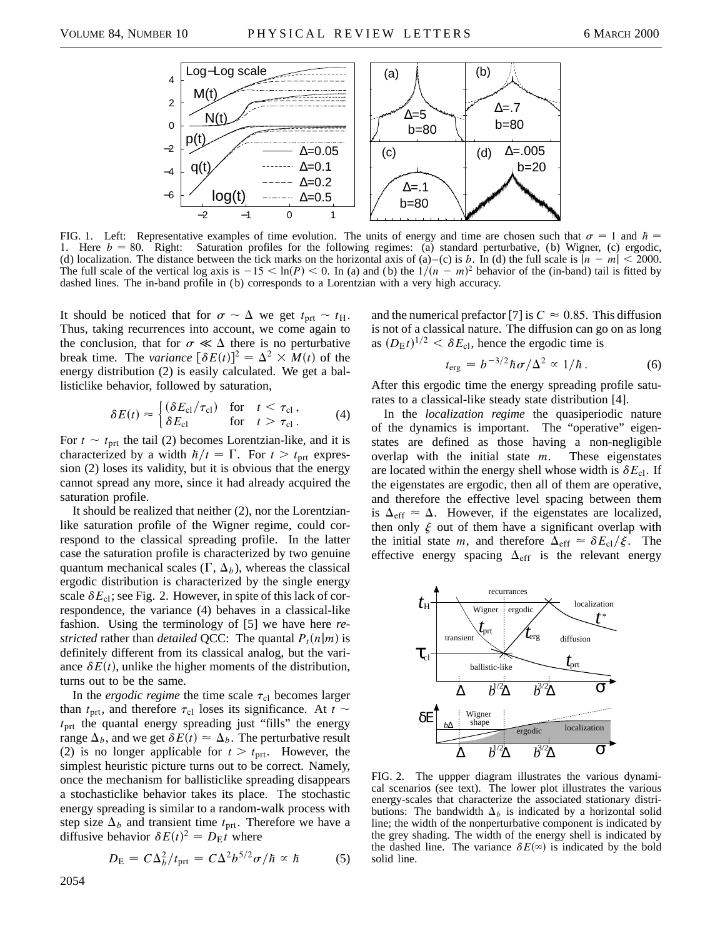

FIG. 1. Left: Representative examples of time evolution. The units of energy and time are chosen such that  $\sigma = 1$  and  $\hbar =$ 1. Here  $b = 80$ . Right: Saturation profiles for the following regimes: (a) standard perturbative, (b) Wigner, (c) ergodic, (d) localization. The distance between the tick marks on the horizontal axis of (a)–(c) is *b*. In (d) the full scale is  $|n - m| < 2000$ . The full scale of the vertical log axis is  $-15 < \ln(P) < 0$ . In (a) and (b) the  $1/(n - m)^2$  behavior of the (in-band) tail is fitted by dashed lines. The in-band profile in (b) corresponds to a Lorentzian with a very high accuracy.

It should be noticed that for  $\sigma \sim \Delta$  we get  $t_{\text{prt}} \sim t_{\text{H}}$ . Thus, taking recurrences into account, we come again to the conclusion, that for  $\sigma \ll \Delta$  there is no perturbative break time. The *variance*  $[\delta E(t)]^2 = \Delta^2 \times M(t)$  of the energy distribution (2) is easily calculated. We get a ballisticlike behavior, followed by saturation,

$$
\delta E(t) \approx \begin{cases}\n(\delta E_{\text{cl}}/\tau_{\text{cl}}) & \text{for} \quad t < \tau_{\text{cl}}\,, \\
\delta E_{\text{cl}} & \text{for} \quad t > \tau_{\text{cl}}\,.\n\end{cases}\n\tag{4}
$$

For  $t \sim t_{\text{prt}}$  the tail (2) becomes Lorentzian-like, and it is characterized by a width  $\hbar/t = \Gamma$ . For  $t > t_{\text{prt}}$  expression (2) loses its validity, but it is obvious that the energy cannot spread any more, since it had already acquired the saturation profile.

It should be realized that neither (2), nor the Lorentzianlike saturation profile of the Wigner regime, could correspond to the classical spreading profile. In the latter case the saturation profile is characterized by two genuine quantum mechanical scales  $(\Gamma, \Delta_b)$ , whereas the classical ergodic distribution is characterized by the single energy scale  $\delta E_{\text{cl}}$ ; see Fig. 2. However, in spite of this lack of correspondence, the variance (4) behaves in a classical-like fashion. Using the terminology of [5] we have here *restricted* rather than *detailed* QCC: The quantal  $P_t(n|m)$  is definitely different from its classical analog, but the variance  $\delta E(t)$ , unlike the higher moments of the distribution, turns out to be the same.

In the *ergodic regime* the time scale  $\tau_{cl}$  becomes larger than  $t_{\text{prt}}$ , and therefore  $\tau_{\text{cl}}$  loses its significance. At  $t \sim$  $t<sub>prt</sub>$  the quantal energy spreading just "fills" the energy range  $\Delta_b$ , and we get  $\delta E(t) \approx \Delta_b$ . The perturbative result (2) is no longer applicable for  $t > t_{\text{prt}}$ . However, the simplest heuristic picture turns out to be correct. Namely, once the mechanism for ballisticlike spreading disappears a stochasticlike behavior takes its place. The stochastic energy spreading is similar to a random-walk process with step size  $\Delta_b$  and transient time  $t_{\text{prt}}$ . Therefore we have a diffusive behavior  $\delta E(t)^2 = D_E t$  where

$$
D_{\rm E} = C\Delta_b^2/t_{\rm prt} = C\Delta^2 b^{5/2}\sigma/\hbar \propto \hbar \tag{5}
$$

and the numerical prefactor [7] is  $C \approx 0.85$ . This diffusion is not of a classical nature. The diffusion can go on as long as  $(D_{\rm E}t)^{1/2} < \delta E_{\rm cl}$ , hence the ergodic time is

$$
t_{\rm erg} = b^{-3/2} \hbar \sigma / \Delta^2 \propto 1/\hbar \,. \tag{6}
$$

After this ergodic time the energy spreading profile saturates to a classical-like steady state distribution [4].

In the *localization regime* the quasiperiodic nature of the dynamics is important. The "operative" eigenstates are defined as those having a non-negligible overlap with the initial state *m*. These eigenstates are located within the energy shell whose width is  $\delta E_{\text{cl}}$ . If the eigenstates are ergodic, then all of them are operative, and therefore the effective level spacing between them is  $\Delta_{\text{eff}} \approx \Delta$ . However, if the eigenstates are localized, then only  $\xi$  out of them have a significant overlap with the initial state *m*, and therefore  $\Delta_{eff} \approx \delta E_{cl}/\xi$ . The effective energy spacing  $\Delta_{eff}$  is the relevant energy



FIG. 2. The uppper diagram illustrates the various dynamical scenarios (see text). The lower plot illustrates the various energy-scales that characterize the associated stationary distributions: The bandwidth  $\Delta_b$  is indicated by a horizontal solid line; the width of the nonperturbative component is indicated by the grey shading. The width of the energy shell is indicated by the dashed line. The variance  $\delta E^{(\infty)}$  is indicated by the bold solid line.